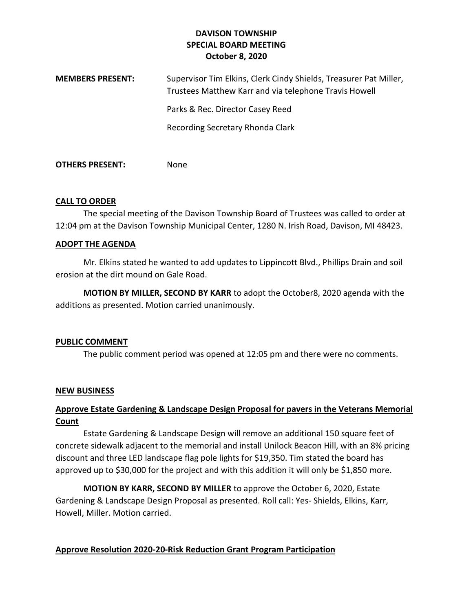# **DAVISON TOWNSHIP SPECIAL BOARD MEETING October 8, 2020**

| <b>MEMBERS PRESENT:</b> | Supervisor Tim Elkins, Clerk Cindy Shields, Treasurer Pat Miller,<br>Trustees Matthew Karr and via telephone Travis Howell |
|-------------------------|----------------------------------------------------------------------------------------------------------------------------|
|                         | Parks & Rec. Director Casey Reed                                                                                           |
|                         | Recording Secretary Rhonda Clark                                                                                           |
|                         |                                                                                                                            |

**OTHERS PRESENT:** None

## **CALL TO ORDER**

The special meeting of the Davison Township Board of Trustees was called to order at 12:04 pm at the Davison Township Municipal Center, 1280 N. Irish Road, Davison, MI 48423.

## **ADOPT THE AGENDA**

Mr. Elkins stated he wanted to add updates to Lippincott Blvd., Phillips Drain and soil erosion at the dirt mound on Gale Road.

**MOTION BY MILLER, SECOND BY KARR** to adopt the October8, 2020 agenda with the additions as presented. Motion carried unanimously.

### **PUBLIC COMMENT**

The public comment period was opened at 12:05 pm and there were no comments.

### **NEW BUSINESS**

# **Approve Estate Gardening & Landscape Design Proposal for pavers in the Veterans Memorial Count**

Estate Gardening & Landscape Design will remove an additional 150 square feet of concrete sidewalk adjacent to the memorial and install Unilock Beacon Hill, with an 8% pricing discount and three LED landscape flag pole lights for \$19,350. Tim stated the board has approved up to \$30,000 for the project and with this addition it will only be \$1,850 more.

**MOTION BY KARR, SECOND BY MILLER** to approve the October 6, 2020, Estate Gardening & Landscape Design Proposal as presented. Roll call: Yes- Shields, Elkins, Karr, Howell, Miller. Motion carried.

# **Approve Resolution 2020-20-Risk Reduction Grant Program Participation**